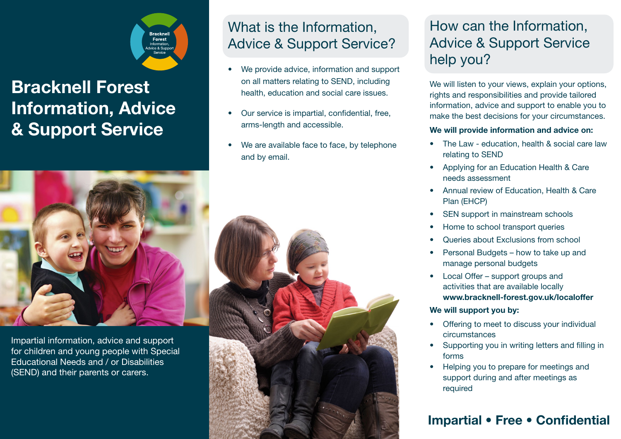

# **Bracknell Forest Information, Advice & Support Service**



Impartial information, advice and support for children and young people with Special Educational Needs and / or Disabilities (SEND) and their parents or carers.

# What is the Information, Advice & Support Service?

- We provide advice, information and support on all matters relating to SEND, including health, education and social care issues.
- Our service is impartial, confidential, free, arms-length and accessible.
- We are available face to face, by telephone and by email.



# How can the Information, Advice & Support Service help you?

We will listen to your views, explain your options, rights and responsibilities and provide tailored information, advice and support to enable you to make the best decisions for your circumstances.

#### **We will provide information and advice on:**

- The Law education, health & social care law relating to SEND
- Applying for an Education Health & Care needs assessment
- Annual review of Education, Health & Care Plan (EHCP)
- SEN support in mainstream schools
- Home to school transport queries
- Queries about Exclusions from school
- Personal Budgets how to take up and manage personal budgets
- Local Offer support groups and activities that are available locally **www.bracknell-forest.gov.uk/localoffer**

#### **We will support you by:**

- Offering to meet to discuss your individual circumstances
- Supporting you in writing letters and filling in forms
- Helping you to prepare for meetings and support during and after meetings as required

### **Impartial • Free • Confidential**